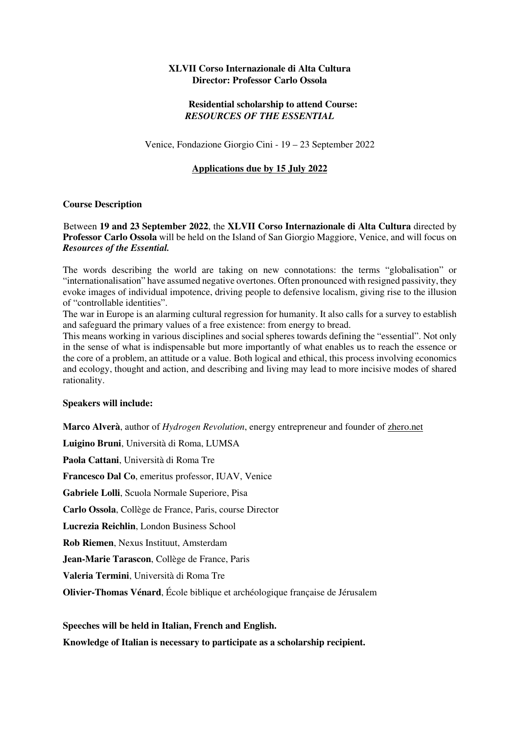## **XLVII Corso Internazionale di Alta Cultura Director: Professor Carlo Ossola**

# **Residential scholarship to attend Course:**  *RESOURCES OF THE ESSENTIAL*

Venice, Fondazione Giorgio Cini - 19 – 23 September 2022

## **Applications due by 15 July 2022**

### **Course Description**

#### Between **19 and 23 September 2022**, the **XLVII Corso Internazionale di Alta Cultura** directed by **Professor Carlo Ossola** will be held on the Island of San Giorgio Maggiore, Venice, and will focus on *Resources of the Essential.*

The words describing the world are taking on new connotations: the terms "globalisation" or "internationalisation" have assumed negative overtones. Often pronounced with resigned passivity, they evoke images of individual impotence, driving people to defensive localism, giving rise to the illusion of "controllable identities".

The war in Europe is an alarming cultural regression for humanity. It also calls for a survey to establish and safeguard the primary values of a free existence: from energy to bread.

This means working in various disciplines and social spheres towards defining the "essential". Not only in the sense of what is indispensable but more importantly of what enables us to reach the essence or the core of a problem, an attitude or a value. Both logical and ethical, this process involving economics and ecology, thought and action, and describing and living may lead to more incisive modes of shared rationality.

#### **Speakers will include:**

**Marco Alverà**, author of *Hydrogen Revolution*, energy entrepreneur and founder of zhero.net

**Luigino Bruni**, Università di Roma, LUMSA

**Paola Cattani**, Università di Roma Tre

**Francesco Dal Co**, emeritus professor, IUAV, Venice

**Gabriele Lolli**, Scuola Normale Superiore, Pisa

**Carlo Ossola**, Collège de France, Paris, course Director

**Lucrezia Reichlin**, London Business School

**Rob Riemen**, Nexus Instituut, Amsterdam

**Jean-Marie Tarascon**, Collège de France, Paris

**Valeria Termini**, Università di Roma Tre

**Olivier-Thomas Vénard**, École biblique et archéologique française de Jérusalem

**Speeches will be held in Italian, French and English.**

**Knowledge of Italian is necessary to participate as a scholarship recipient.**